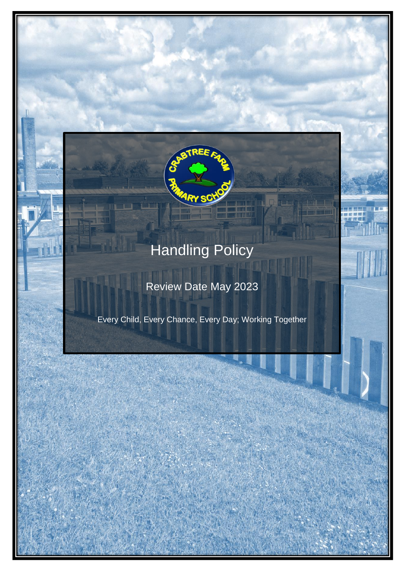

# Handling Policy

# Review Date May 2023

Every Child, Every Chance, Every Day; Working Together

HANDLING POLICY EVERY CHILD, EVERY CHANCE, EVERY DAY; WORKING **TOGETHER**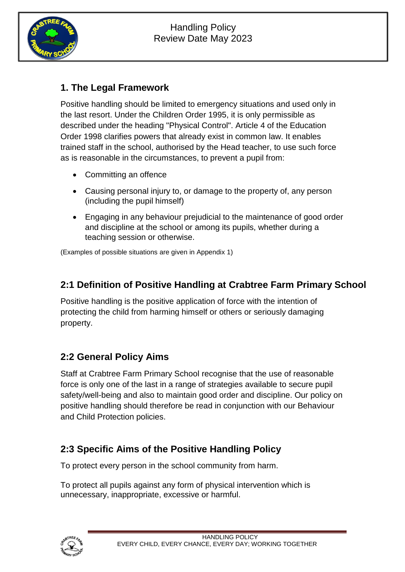

#### **1. The Legal Framework**

Positive handling should be limited to emergency situations and used only in the last resort. Under the Children Order 1995, it is only permissible as described under the heading "Physical Control". Article 4 of the Education Order 1998 clarifies powers that already exist in common law. It enables trained staff in the school, authorised by the Head teacher, to use such force as is reasonable in the circumstances, to prevent a pupil from:

- Committing an offence
- Causing personal injury to, or damage to the property of, any person (including the pupil himself)
- Engaging in any behaviour prejudicial to the maintenance of good order and discipline at the school or among its pupils, whether during a teaching session or otherwise.

(Examples of possible situations are given in Appendix 1)

#### **2:1 Definition of Positive Handling at Crabtree Farm Primary School**

Positive handling is the positive application of force with the intention of protecting the child from harming himself or others or seriously damaging property.

#### **2:2 General Policy Aims**

Staff at Crabtree Farm Primary School recognise that the use of reasonable force is only one of the last in a range of strategies available to secure pupil safety/well-being and also to maintain good order and discipline. Our policy on positive handling should therefore be read in conjunction with our Behaviour and Child Protection policies.

#### **2:3 Specific Aims of the Positive Handling Policy**

To protect every person in the school community from harm.

To protect all pupils against any form of physical intervention which is unnecessary, inappropriate, excessive or harmful.

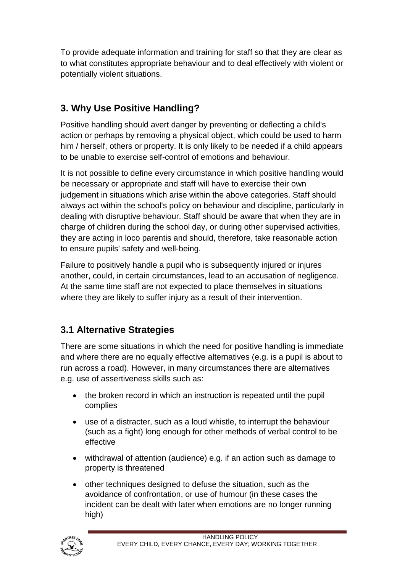To provide adequate information and training for staff so that they are clear as to what constitutes appropriate behaviour and to deal effectively with violent or potentially violent situations.

# **3. Why Use Positive Handling?**

Positive handling should avert danger by preventing or deflecting a child's action or perhaps by removing a physical object, which could be used to harm him / herself, others or property. It is only likely to be needed if a child appears to be unable to exercise self-control of emotions and behaviour.

It is not possible to define every circumstance in which positive handling would be necessary or appropriate and staff will have to exercise their own judgement in situations which arise within the above categories. Staff should always act within the school's policy on behaviour and discipline, particularly in dealing with disruptive behaviour. Staff should be aware that when they are in charge of children during the school day, or during other supervised activities, they are acting in loco parentis and should, therefore, take reasonable action to ensure pupils' safety and well-being.

Failure to positively handle a pupil who is subsequently injured or injures another, could, in certain circumstances, lead to an accusation of negligence. At the same time staff are not expected to place themselves in situations where they are likely to suffer injury as a result of their intervention.

# **3.1 Alternative Strategies**

There are some situations in which the need for positive handling is immediate and where there are no equally effective alternatives (e.g. is a pupil is about to run across a road). However, in many circumstances there are alternatives e.g. use of assertiveness skills such as:

- the broken record in which an instruction is repeated until the pupil complies
- use of a distracter, such as a loud whistle, to interrupt the behaviour (such as a fight) long enough for other methods of verbal control to be effective
- withdrawal of attention (audience) e.g. if an action such as damage to property is threatened
- other techniques designed to defuse the situation, such as the avoidance of confrontation, or use of humour (in these cases the incident can be dealt with later when emotions are no longer running high)

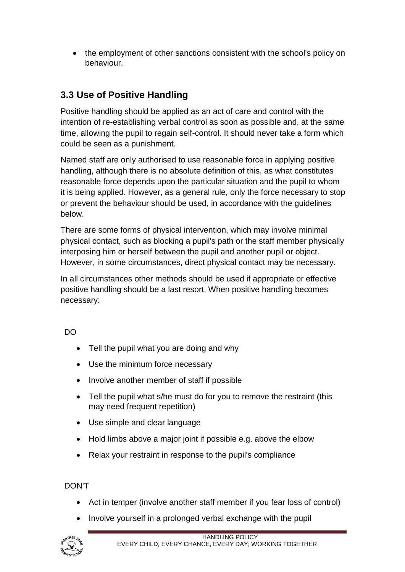• the employment of other sanctions consistent with the school's policy on behaviour.

## **3.3 Use of Positive Handling**

Positive handling should be applied as an act of care and control with the intention of re-establishing verbal control as soon as possible and, at the same time, allowing the pupil to regain self-control. It should never take a form which could be seen as a punishment.

Named staff are only authorised to use reasonable force in applying positive handling, although there is no absolute definition of this, as what constitutes reasonable force depends upon the particular situation and the pupil to whom it is being applied. However, as a general rule, only the force necessary to stop or prevent the behaviour should be used, in accordance with the guidelines below.

There are some forms of physical intervention, which may involve minimal physical contact, such as blocking a pupil's path or the staff member physically interposing him or herself between the pupil and another pupil or object. However, in some circumstances, direct physical contact may be necessary.

In all circumstances other methods should be used if appropriate or effective positive handling should be a last resort. When positive handling becomes necessary:

DO

- Tell the pupil what you are doing and why
- Use the minimum force necessary
- Involve another member of staff if possible
- Tell the pupil what s/he must do for you to remove the restraint (this may need frequent repetition)
- Use simple and clear language
- Hold limbs above a major joint if possible e.g. above the elbow
- Relax your restraint in response to the pupil's compliance

DON'T

- Act in temper (involve another staff member if you fear loss of control)
- Involve yourself in a prolonged verbal exchange with the pupil

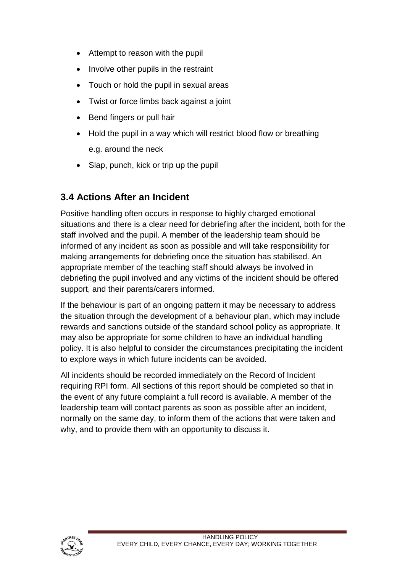- Attempt to reason with the pupil
- Involve other pupils in the restraint
- Touch or hold the pupil in sexual areas
- Twist or force limbs back against a joint
- Bend fingers or pull hair
- Hold the pupil in a way which will restrict blood flow or breathing e.g. around the neck
- Slap, punch, kick or trip up the pupil

#### **3.4 Actions After an Incident**

Positive handling often occurs in response to highly charged emotional situations and there is a clear need for debriefing after the incident, both for the staff involved and the pupil. A member of the leadership team should be informed of any incident as soon as possible and will take responsibility for making arrangements for debriefing once the situation has stabilised. An appropriate member of the teaching staff should always be involved in debriefing the pupil involved and any victims of the incident should be offered support, and their parents/carers informed.

If the behaviour is part of an ongoing pattern it may be necessary to address the situation through the development of a behaviour plan, which may include rewards and sanctions outside of the standard school policy as appropriate. It may also be appropriate for some children to have an individual handling policy. It is also helpful to consider the circumstances precipitating the incident to explore ways in which future incidents can be avoided.

All incidents should be recorded immediately on the Record of Incident requiring RPI form. All sections of this report should be completed so that in the event of any future complaint a full record is available. A member of the leadership team will contact parents as soon as possible after an incident, normally on the same day, to inform them of the actions that were taken and why, and to provide them with an opportunity to discuss it.

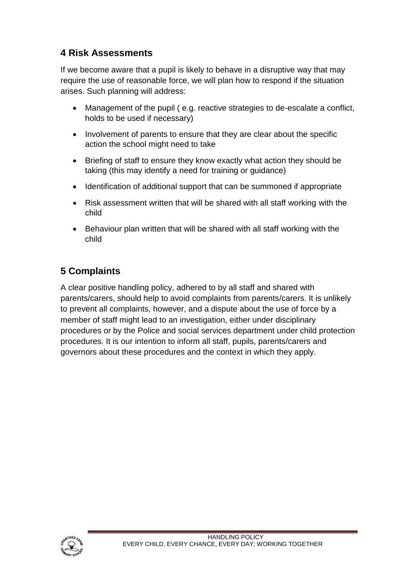## **4 Risk Assessments**

If we become aware that a pupil is likely to behave in a disruptive way that may require the use of reasonable force, we will plan how to respond if the situation arises. Such planning will address:

- Management of the pupil ( e.g. reactive strategies to de-escalate a conflict, holds to be used if necessary)
- Involvement of parents to ensure that they are clear about the specific action the school might need to take
- Briefing of staff to ensure they know exactly what action they should be taking (this may identify a need for training or guidance)
- Identification of additional support that can be summoned if appropriate
- Risk assessment written that will be shared with all staff working with the child
- Behaviour plan written that will be shared with all staff working with the child

# **5 Complaints**

A clear positive handling policy, adhered to by all staff and shared with parents/carers, should help to avoid complaints from parents/carers. It is unlikely to prevent all complaints, however, and a dispute about the use of force by a member of staff might lead to an investigation, either under disciplinary procedures or by the Police and social services department under child protection procedures. It is our intention to inform all staff, pupils, parents/carers and governors about these procedures and the context in which they apply.